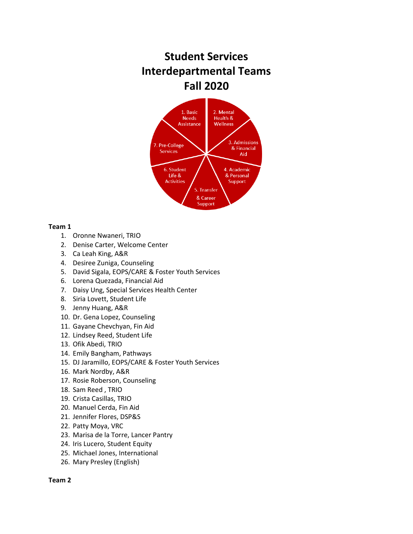# **Student Services Interdepartmental Teams Fall 2020**



## **Team 1**

- 1. Oronne Nwaneri, TRIO
- 2. Denise Carter, Welcome Center
- 3. Ca Leah King, A&R
- 4. Desiree Zuniga, Counseling
- 5. David Sigala, EOPS/CARE & Foster Youth Services
- 6. Lorena Quezada, Financial Aid
- 7. Daisy Ung, Special Services Health Center
- 8. Siria Lovett, Student Life
- 9. Jenny Huang, A&R
- 10. Dr. Gena Lopez, Counseling
- 11. Gayane Chevchyan, Fin Aid
- 12. Lindsey Reed, Student Life
- 13. Ofik Abedi, TRIO
- 14. Emily Bangham, Pathways
- 15. DJ Jaramillo, EOPS/CARE & Foster Youth Services
- 16. Mark Nordby, A&R
- 17. Rosie Roberson, Counseling
- 18. Sam Reed , TRIO
- 19. Crista Casillas, TRIO
- 20. Manuel Cerda, Fin Aid
- 21. Jennifer Flores, DSP&S
- 22. Patty Moya, VRC
- 23. Marisa de la Torre, Lancer Pantry
- 24. Iris Lucero, Student Equity
- 25. Michael Jones, International
- 26. Mary Presley (English)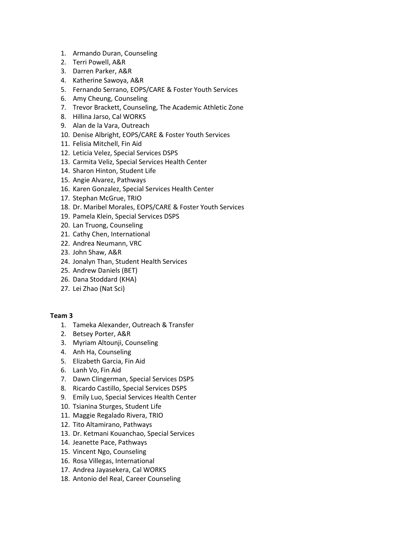- 1. Armando Duran, Counseling
- 2. Terri Powell, A&R
- 3. Darren Parker, A&R
- 4. Katherine Sawoya, A&R
- 5. Fernando Serrano, EOPS/CARE & Foster Youth Services
- 6. Amy Cheung, Counseling
- 7. Trevor Brackett, Counseling, The Academic Athletic Zone
- 8. Hillina Jarso, Cal WORKS
- 9. Alan de la Vara, Outreach
- 10. Denise Albright, EOPS/CARE & Foster Youth Services
- 11. Felisia Mitchell, Fin Aid
- 12. Leticia Velez, Special Services DSPS
- 13. Carmita Veliz, Special Services Health Center
- 14. Sharon Hinton, Student Life
- 15. Angie Alvarez, Pathways
- 16. Karen Gonzalez, Special Services Health Center
- 17. Stephan McGrue, TRIO
- 18. Dr. Maribel Morales, EOPS/CARE & Foster Youth Services
- 19. Pamela Klein, Special Services DSPS
- 20. Lan Truong, Counseling
- 21. Cathy Chen, International
- 22. Andrea Neumann, VRC
- 23. John Shaw, A&R
- 24. Jonalyn Than, Student Health Services
- 25. Andrew Daniels (BET)
- 26. Dana Stoddard (KHA)
- 27. Lei Zhao (Nat Sci)

- 1. Tameka Alexander, Outreach & Transfer
- 2. Betsey Porter, A&R
- 3. Myriam Altounji, Counseling
- 4. Anh Ha, Counseling
- 5. Elizabeth Garcia, Fin Aid
- 6. Lanh Vo, Fin Aid
- 7. Dawn Clingerman, Special Services DSPS
- 8. Ricardo Castillo, Special Services DSPS
- 9. Emily Luo, Special Services Health Center
- 10. Tsianina Sturges, Student Life
- 11. Maggie Regalado Rivera, TRIO
- 12. Tito Altamirano, Pathways
- 13. Dr. Ketmani Kouanchao, Special Services
- 14. Jeanette Pace, Pathways
- 15. Vincent Ngo, Counseling
- 16. Rosa Villegas, International
- 17. Andrea Jayasekera, Cal WORKS
- 18. Antonio del Real, Career Counseling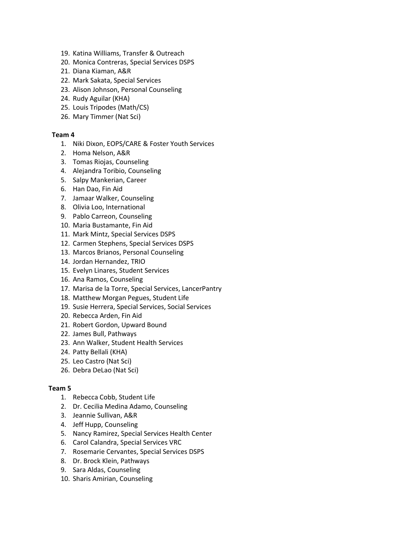- 19. Katina Williams, Transfer & Outreach
- 20. Monica Contreras, Special Services DSPS
- 21. Diana Kiaman, A&R
- 22. Mark Sakata, Special Services
- 23. Alison Johnson, Personal Counseling
- 24. Rudy Aguilar (KHA)
- 25. Louis Tripodes (Math/CS)
- 26. Mary Timmer (Nat Sci)

## **Team 4**

- 1. Niki Dixon, EOPS/CARE & Foster Youth Services
- 2. Homa Nelson, A&R
- 3. Tomas Riojas, Counseling
- 4. Alejandra Toribio, Counseling
- 5. Salpy Mankerian, Career
- 6. Han Dao, Fin Aid
- 7. Jamaar Walker, Counseling
- 8. Olivia Loo, International
- 9. Pablo Carreon, Counseling
- 10. Maria Bustamante, Fin Aid
- 11. Mark Mintz, Special Services DSPS
- 12. Carmen Stephens, Special Services DSPS
- 13. Marcos Brianos, Personal Counseling
- 14. Jordan Hernandez, TRIO
- 15. Evelyn Linares, Student Services
- 16. Ana Ramos, Counseling
- 17. Marisa de la Torre, Special Services, LancerPantry
- 18. Matthew Morgan Pegues, Student Life
- 19. Susie Herrera, Special Services, Social Services
- 20. Rebecca Arden, Fin Aid
- 21. Robert Gordon, Upward Bound
- 22. James Bull, Pathways
- 23. Ann Walker, Student Health Services
- 24. Patty Bellali (KHA)
- 25. Leo Castro (Nat Sci)
- 26. Debra DeLao (Nat Sci)

- 1. Rebecca Cobb, Student Life
- 2. Dr. Cecilia Medina Adamo, Counseling
- 3. Jeannie Sullivan, A&R
- 4. Jeff Hupp, Counseling
- 5. Nancy Ramirez, Special Services Health Center
- 6. Carol Calandra, Special Services VRC
- 7. Rosemarie Cervantes, Special Services DSPS
- 8. Dr. Brock Klein, Pathways
- 9. Sara Aldas, Counseling
- 10. Sharis Amirian, Counseling